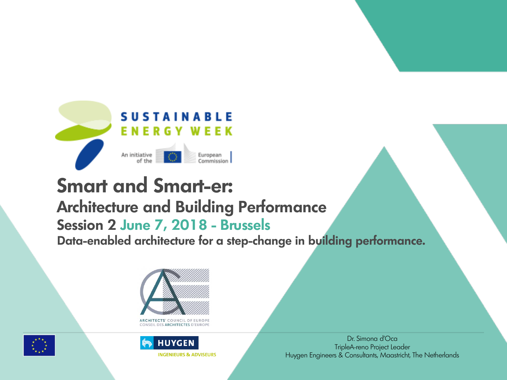

## **Smart and Smart-er: Architecture and Building Performance Session 2 June 7, 2018 - Brussels Data-enabled architecture for a step-change in building performance.**



**ARCHITECTS' COUNCIL OF EUROP** CONSEIL DES ARCHITECTES D'EUROPE



**HUYGEN INGENIEURS & ADVISEURS**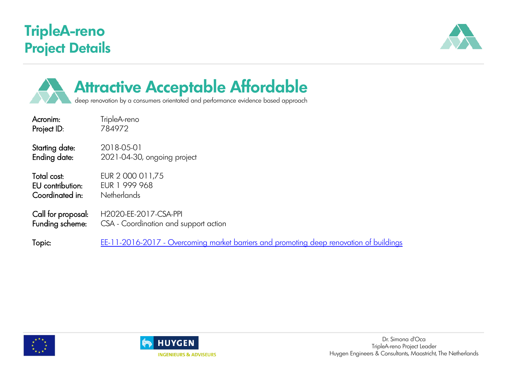### **TripleA-reno Project Details**





# **Attractive Acceptable Affordable**

deep renovation by a consumers orientated and performance evidence based approach

Acronim: TripleA-reno Project ID: 784972

Starting date: 2018-05-01 Ending date: 2021-04-30, ongoing project

EU contribution: EUR 1 999 968 Coordinated in: Netherlands

Total cost: EUR 2 000 011,75

Call for proposal: H2020-EE-2017-CSA-PPI<br>Funding scheme: CSA - Coordination and s CSA - Coordination and support action

Topic: <u>EE-11-2016-2017 - [Overcoming market barriers and promoting deep renovation of buildings](https://www.cordis.europa.eu/programme/rcn/702015_en.html)</u>



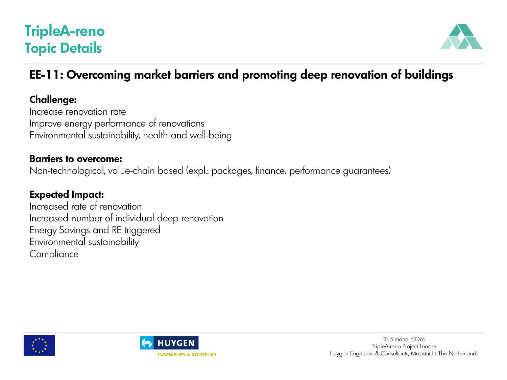### **TripleA-reno Topic Details**



### **EE-11: Overcoming market barriers and promoting deep renovation of buildings**

#### **Challenge:**

Increase renovation rate Improve energy performance of renovations Environmental sustainability, health and well-being

#### **Barriers to overcome:**

Non-technological, value-chain based (expl.: packages, finance, performance guarantees)

#### **Expected Impact:**

Increased rate of renovation Increased number of individual deep renovation Energy Savings and RE triggered Environmental sustainability **Compliance** 



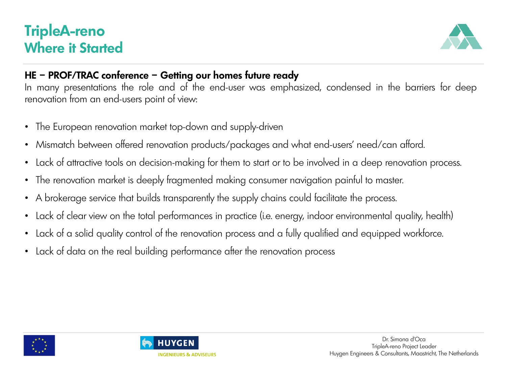### **TripleA-reno Where it Started**



#### **HE – PROF/TRAC conference – Getting our homes future ready**

In many presentations the role and of the end-user was emphasized, condensed in the barriers for deep renovation from an end-users point of view:

- The European renovation market top-down and supply-driven
- Mismatch between offered renovation products/packages and what end-users' need/can afford.
- Lack of attractive tools on decision-making for them to start or to be involved in a deep renovation process.
- The renovation market is deeply fragmented making consumer navigation painful to master.
- A brokerage service that builds transparently the supply chains could facilitate the process.
- Lack of clear view on the total performances in practice (i.e. energy, indoor environmental quality, health)
- Lack of a solid quality control of the renovation process and a fully qualified and equipped workforce.
- Lack of data on the real building performance after the renovation process



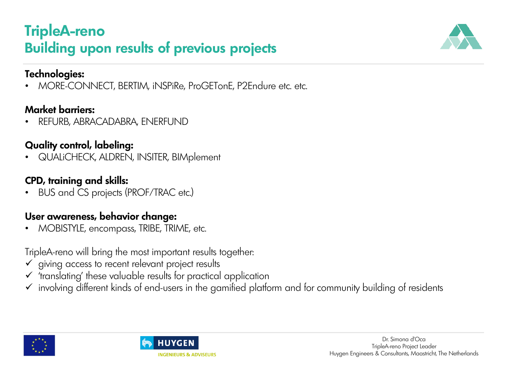### **TripleA-reno Building upon results of previous projects**



#### **Technologies:**

• MORE-CONNECT, BERTIM, iNSPiRe, ProGETonE, P2Endure etc. etc.

#### **Market barriers:**

• REFURB, ABRACADABRA, ENERFUND

#### **Quality control, labeling:**

• QUALiCHECK, ALDREN, INSITER, BIMplement

#### **CPD, training and skills:**

• BUS and CS projects (PROF/TRAC etc.)

### **User awareness, behavior change:**

• MOBISTYLE, encompass, TRIBE, TRIME, etc.

TripleA-reno will bring the most important results together:

- ✓ giving access to recent relevant project results
- $\checkmark$  'translating' these valuable results for practical application
- ✓ involving different kinds of end-users in the gamified platform and for community building of residents



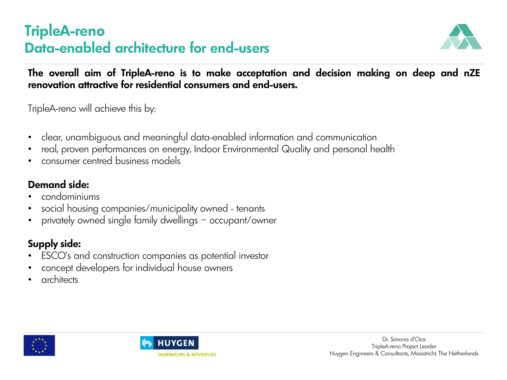### **TripleA-reno Data-enabled architecture for end-users**



**The overall aim of TripleA-reno is to make acceptation and decision making on deep and nZE renovation attractive for residential consumers and end-users.**

TripleA-reno will achieve this by:

- clear, unambiguous and meaningful data-enabled information and communication
- real, proven performances on energy, Indoor Environmental Quality and personal health
- consumer centred business models

### **Demand side:**

- condominiums
- social housing companies/municipality owned tenants
- privately owned single family dwellings occupant/owner

### **Supply side:**

- ESCO's and construction companies as potential investor
- concept developers for individual house owners
- **architects**



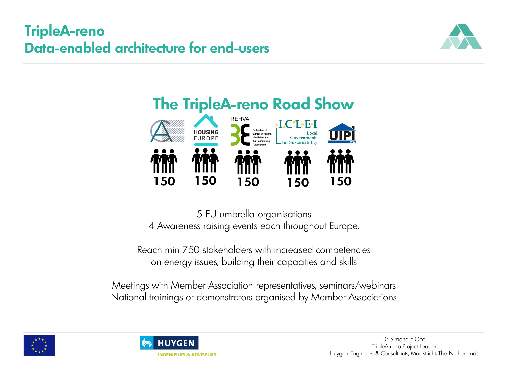### **TripleA-reno Data-enabled architecture for end-users**





5 EU umbrella organisations 4 Awareness raising events each throughout Europe.

Reach min 750 stakeholders with increased competencies on energy issues, building their capacities and skills

Meetings with Member Association representatives, seminars/webinars National trainings or demonstrators organised by Member Associations



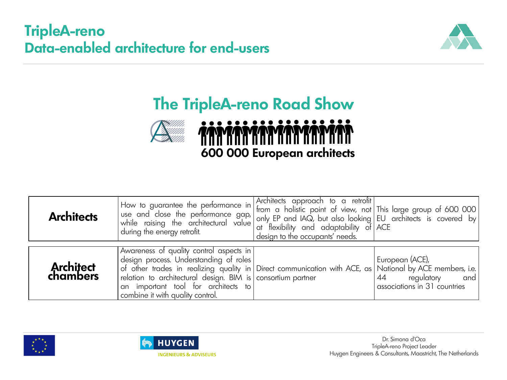### **TripleA-reno Data-enabled architecture for end-users**



# **The TripleA-reno Road Show**



| <b>Architects</b>            | $\sf I$ How to guarantee the performance in $\sf I$<br>use and close the performance gap,<br>while raising the architectural value<br>during the energy retrofit.                                                                                                                                                                                                | Architects approach to a retrotit<br>  from a holistic point of view, not   This large group of 600 000  <br>$ $ only EP and IAQ, but also looking $ $ EU architects is covered by $ $<br>at flexibility and adaptability of ACE<br>design to the occupants' needs. |                                                                         |
|------------------------------|------------------------------------------------------------------------------------------------------------------------------------------------------------------------------------------------------------------------------------------------------------------------------------------------------------------------------------------------------------------|---------------------------------------------------------------------------------------------------------------------------------------------------------------------------------------------------------------------------------------------------------------------|-------------------------------------------------------------------------|
| <b>Architect</b><br>chambers | Awareness of quality control aspects in  <br>  design process. Understanding of roles  <br>of other trades in realizing quality in Direct communication with ACE, as Mational by ACE members, i.e.  <br>$\vert$ relation to architectural design. BIM is $\vert$ consortium partner<br> an important tool for architects to <br>combine it with quality control. |                                                                                                                                                                                                                                                                     | European (ACE),<br>44<br>regulatory and<br>associations in 31 countries |



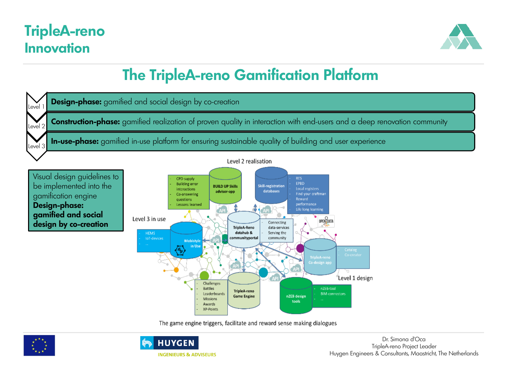### **TripleA-reno Innovation**



## **The TripleA-reno Gamification Platform**



The game engine triggers, facilitate and reward sense making dialogues



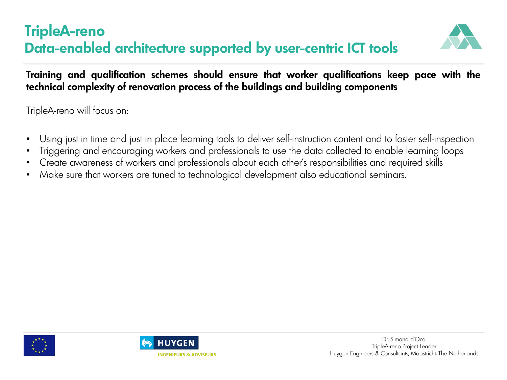### **TripleA-reno Data-enabled architecture supported by user-centric ICT tools**



**Training and qualification schemes should ensure that worker qualifications keep pace with the technical complexity of renovation process of the buildings and building components**

TripleA-reno will focus on:

- Using just in time and just in place learning tools to deliver self-instruction content and to foster self-inspection
- Triggering and encouraging workers and professionals to use the data collected to enable learning loops
- Create awareness of workers and professionals about each other's responsibilities and required skills
- Make sure that workers are tuned to technological development also educational seminars.



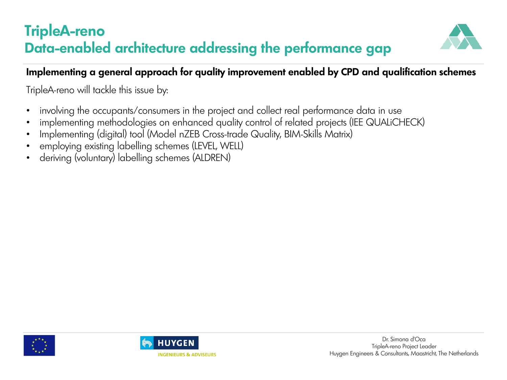### **TripleA-reno Data-enabled architecture addressing the performance gap**



#### **Implementing a general approach for quality improvement enabled by CPD and qualification schemes**

TripleA-reno will tackle this issue by:

- involving the occupants/consumers in the project and collect real performance data in use
- implementing methodologies on enhanced quality control of related projects (IEE QUALiCHECK)
- Implementing (digital) tool (Model nZEB Cross-trade Quality, BIM-Skills Matrix)
- employing existing labelling schemes (LEVEL, WELL)
- deriving (voluntary) labelling schemes (ALDREN)



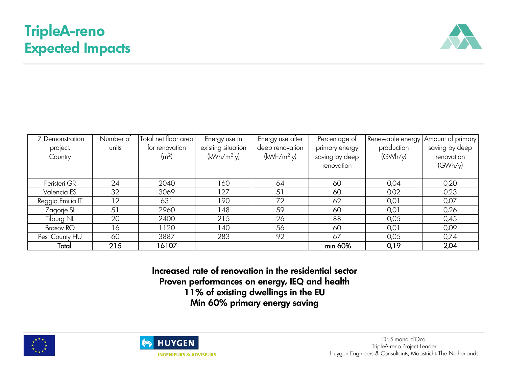## **TripleA-reno Expected Impacts**



| Demonstration    | Number of | Total net floor area | Energy use in      | Energy use after | Percentage of  | Renewable energy | Amount of primary |
|------------------|-----------|----------------------|--------------------|------------------|----------------|------------------|-------------------|
| project,         | units     | for renovation       | existing situation | deep renovation  | primary energy | production       | saving by deep    |
| Country          |           | (m <sup>2</sup> )    | $(kWh/m^2 y)$      | $(kWh/m^2 y)$    | saving by deep | (GWh/y)          | renovation        |
|                  |           |                      |                    |                  | renovation     |                  | (GWh/y)           |
|                  |           |                      |                    |                  |                |                  |                   |
| Peristeri GR     | 24        | 2040                 | 160                | 64               | 60             | 0,04             | 0,20              |
| Valencia ES      | 32        | 3069                 | 127                | 51               | 60             | 0.02             | 0.23              |
| Reggio Emilia IT | 12        | 631                  | 190                | 72               | 62             | 0,01             | 0,07              |
| Zagorje SI       | 51        | 2960                 | 148                | 59               | 60             | 0,01             | 0,26              |
| Tilburg NL       | 20        | 2400                 | 215                | 26               | 88             | 0,05             | 0,45              |
| Brasov RO        | 16        | 1120                 | 140                | 56               | 60             | 0,01             | 0,09              |
| Pest County HU   | 60        | 3887                 | 283                | 92               | 67             | 0,05             | 0,74              |
| Total            | 215       | 16107                |                    |                  | min 60%        | 0,19             | 2,04              |

**Increased rate of renovation in the residential sector Proven performances on energy, IEQ and health 11% of existing dwellings in the EU Min 60% primary energy saving**